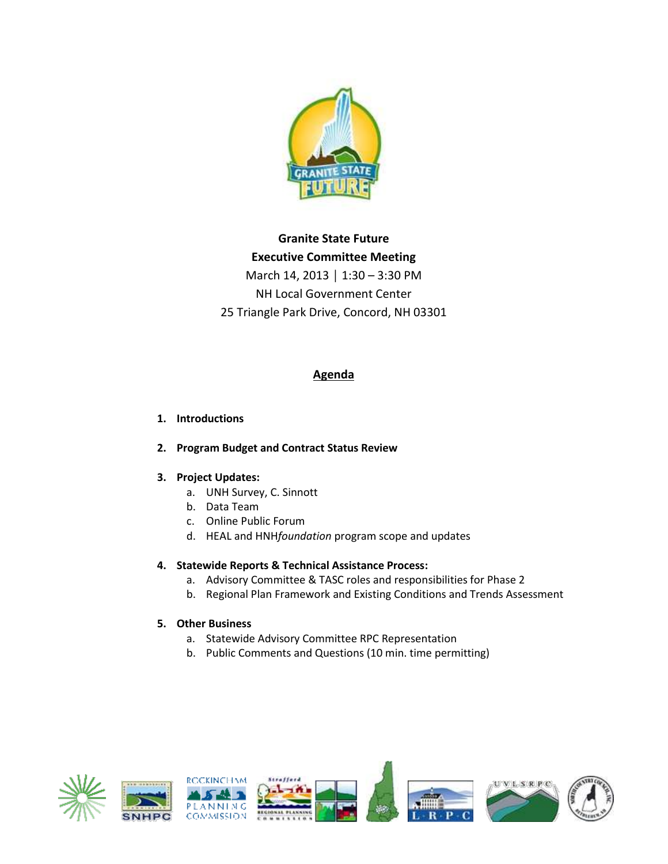

# **Granite State Future Executive Committee Meeting** March 14, 2013 │ 1:30 – 3:30 PM NH Local Government Center 25 Triangle Park Drive, Concord, NH 03301

## **Agenda**

#### **1. Introductions**

### **2. Program Budget and Contract Status Review**

### **3. Project Updates:**

- a. UNH Survey, C. Sinnott
- b. Data Team
- c. Online Public Forum
- d. HEAL and HNH*foundation* program scope and updates

#### **4. Statewide Reports & Technical Assistance Process:**

- a. Advisory Committee & TASC roles and responsibilities for Phase 2
- b. Regional Plan Framework and Existing Conditions and Trends Assessment

#### **5. Other Business**

- a. Statewide Advisory Committee RPC Representation
- b. Public Comments and Questions (10 min. time permitting)

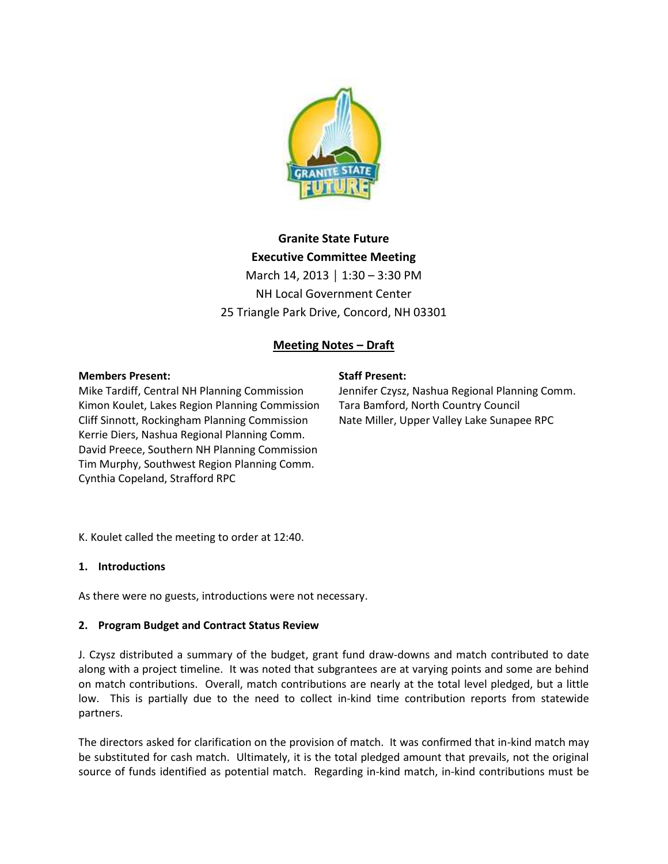

# **Granite State Future Executive Committee Meeting** March 14, 2013 │ 1:30 – 3:30 PM NH Local Government Center 25 Triangle Park Drive, Concord, NH 03301

# **Meeting Notes – Draft**

#### **Members Present:**

Mike Tardiff, Central NH Planning Commission Kimon Koulet, Lakes Region Planning Commission Cliff Sinnott, Rockingham Planning Commission Kerrie Diers, Nashua Regional Planning Comm. David Preece, Southern NH Planning Commission Tim Murphy, Southwest Region Planning Comm. Cynthia Copeland, Strafford RPC

#### **Staff Present:**

Jennifer Czysz, Nashua Regional Planning Comm. Tara Bamford, North Country Council Nate Miller, Upper Valley Lake Sunapee RPC

K. Koulet called the meeting to order at 12:40.

#### **1. Introductions**

As there were no guests, introductions were not necessary.

#### **2. Program Budget and Contract Status Review**

J. Czysz distributed a summary of the budget, grant fund draw-downs and match contributed to date along with a project timeline. It was noted that subgrantees are at varying points and some are behind on match contributions. Overall, match contributions are nearly at the total level pledged, but a little low. This is partially due to the need to collect in-kind time contribution reports from statewide partners.

The directors asked for clarification on the provision of match. It was confirmed that in-kind match may be substituted for cash match. Ultimately, it is the total pledged amount that prevails, not the original source of funds identified as potential match. Regarding in-kind match, in-kind contributions must be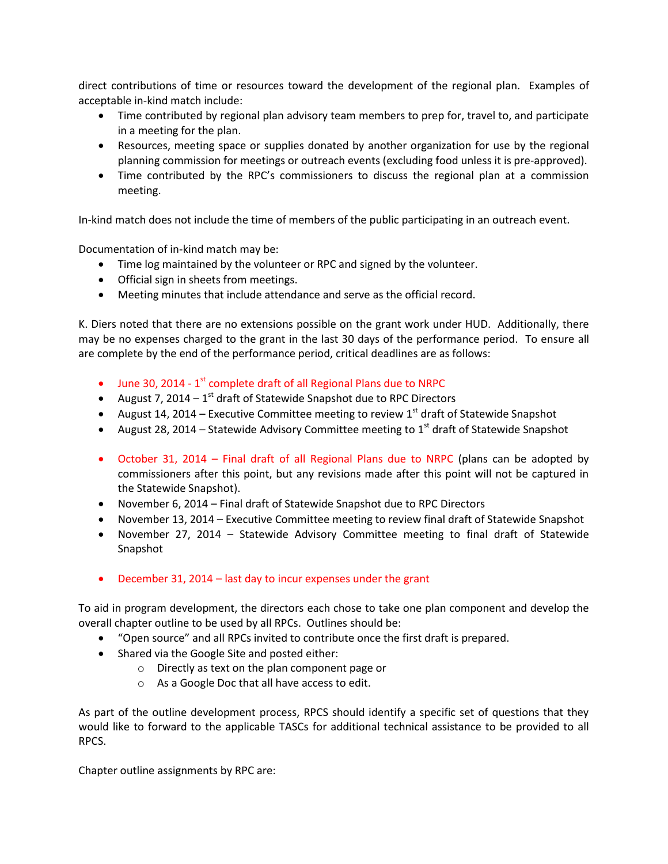direct contributions of time or resources toward the development of the regional plan. Examples of acceptable in-kind match include:

- Time contributed by regional plan advisory team members to prep for, travel to, and participate in a meeting for the plan.
- Resources, meeting space or supplies donated by another organization for use by the regional planning commission for meetings or outreach events (excluding food unless it is pre-approved).
- Time contributed by the RPC's commissioners to discuss the regional plan at a commission meeting.

In-kind match does not include the time of members of the public participating in an outreach event.

Documentation of in-kind match may be:

- Time log maintained by the volunteer or RPC and signed by the volunteer.
- Official sign in sheets from meetings.
- Meeting minutes that include attendance and serve as the official record.

K. Diers noted that there are no extensions possible on the grant work under HUD. Additionally, there may be no expenses charged to the grant in the last 30 days of the performance period. To ensure all are complete by the end of the performance period, critical deadlines are as follows:

- $\bullet$  June 30, 2014 1<sup>st</sup> complete draft of all Regional Plans due to NRPC
- August 7, 2014  $-1^{st}$  draft of Statewide Snapshot due to RPC Directors
- August 14, 2014 Executive Committee meeting to review  $1<sup>st</sup>$  draft of Statewide Snapshot
- August 28, 2014 Statewide Advisory Committee meeting to  $1<sup>st</sup>$  draft of Statewide Snapshot
- October 31, 2014 Final draft of all Regional Plans due to NRPC (plans can be adopted by commissioners after this point, but any revisions made after this point will not be captured in the Statewide Snapshot).
- November 6, 2014 Final draft of Statewide Snapshot due to RPC Directors
- November 13, 2014 Executive Committee meeting to review final draft of Statewide Snapshot
- November 27, 2014 Statewide Advisory Committee meeting to final draft of Statewide Snapshot
- December 31, 2014 last day to incur expenses under the grant

To aid in program development, the directors each chose to take one plan component and develop the overall chapter outline to be used by all RPCs. Outlines should be:

- "Open source" and all RPCs invited to contribute once the first draft is prepared.
- Shared via the Google Site and posted either:
	- o Directly as text on the plan component page or
	- o As a Google Doc that all have access to edit.

As part of the outline development process, RPCS should identify a specific set of questions that they would like to forward to the applicable TASCs for additional technical assistance to be provided to all RPCS.

Chapter outline assignments by RPC are: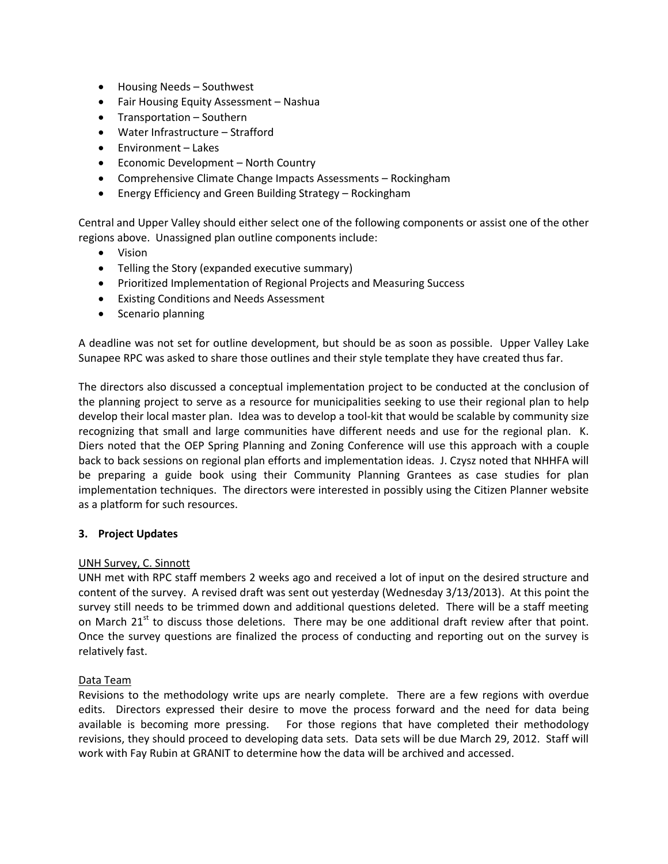- Housing Needs Southwest
- Fair Housing Equity Assessment Nashua
- Transportation Southern
- Water Infrastructure Strafford
- Fnvironment Lakes
- Economic Development North Country
- Comprehensive Climate Change Impacts Assessments Rockingham
- Energy Efficiency and Green Building Strategy Rockingham

Central and Upper Valley should either select one of the following components or assist one of the other regions above. Unassigned plan outline components include:

- Vision
- Telling the Story (expanded executive summary)
- Prioritized Implementation of Regional Projects and Measuring Success
- Existing Conditions and Needs Assessment
- Scenario planning

A deadline was not set for outline development, but should be as soon as possible. Upper Valley Lake Sunapee RPC was asked to share those outlines and their style template they have created thus far.

The directors also discussed a conceptual implementation project to be conducted at the conclusion of the planning project to serve as a resource for municipalities seeking to use their regional plan to help develop their local master plan. Idea was to develop a tool-kit that would be scalable by community size recognizing that small and large communities have different needs and use for the regional plan. K. Diers noted that the OEP Spring Planning and Zoning Conference will use this approach with a couple back to back sessions on regional plan efforts and implementation ideas. J. Czysz noted that NHHFA will be preparing a guide book using their Community Planning Grantees as case studies for plan implementation techniques. The directors were interested in possibly using the Citizen Planner website as a platform for such resources.

#### **3. Project Updates**

#### UNH Survey, C. Sinnott

UNH met with RPC staff members 2 weeks ago and received a lot of input on the desired structure and content of the survey. A revised draft was sent out yesterday (Wednesday 3/13/2013). At this point the survey still needs to be trimmed down and additional questions deleted. There will be a staff meeting on March 21<sup>st</sup> to discuss those deletions. There may be one additional draft review after that point. Once the survey questions are finalized the process of conducting and reporting out on the survey is relatively fast.

#### Data Team

Revisions to the methodology write ups are nearly complete. There are a few regions with overdue edits. Directors expressed their desire to move the process forward and the need for data being available is becoming more pressing. For those regions that have completed their methodology revisions, they should proceed to developing data sets. Data sets will be due March 29, 2012. Staff will work with Fay Rubin at GRANIT to determine how the data will be archived and accessed.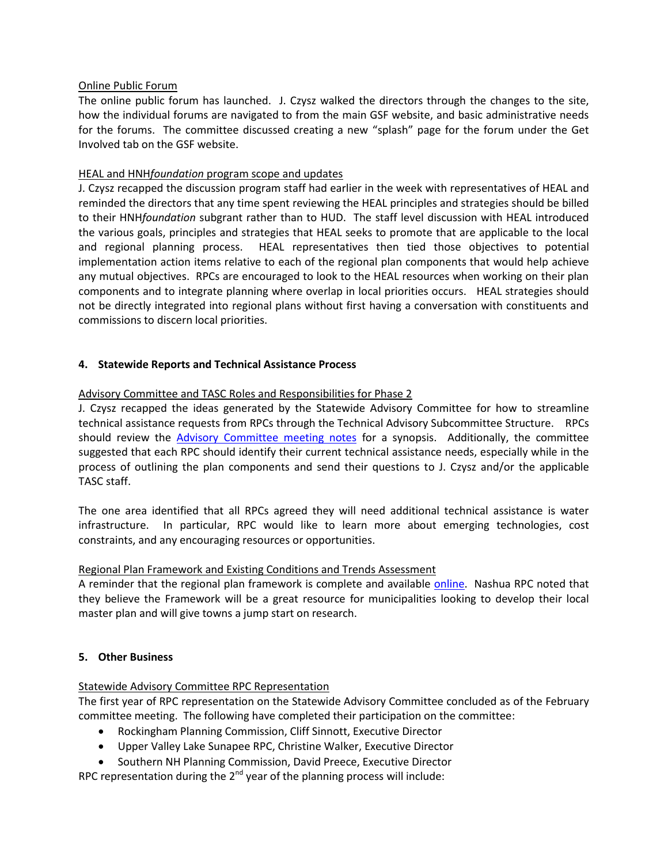#### Online Public Forum

The online public forum has launched. J. Czysz walked the directors through the changes to the site, how the individual forums are navigated to from the main GSF website, and basic administrative needs for the forums. The committee discussed creating a new "splash" page for the forum under the Get Involved tab on the GSF website.

#### HEAL and HNH*foundation* program scope and updates

J. Czysz recapped the discussion program staff had earlier in the week with representatives of HEAL and reminded the directors that any time spent reviewing the HEAL principles and strategies should be billed to their HNH*foundation* subgrant rather than to HUD. The staff level discussion with HEAL introduced the various goals, principles and strategies that HEAL seeks to promote that are applicable to the local and regional planning process. HEAL representatives then tied those objectives to potential implementation action items relative to each of the regional plan components that would help achieve any mutual objectives. RPCs are encouraged to look to the HEAL resources when working on their plan components and to integrate planning where overlap in local priorities occurs. HEAL strategies should not be directly integrated into regional plans without first having a conversation with constituents and commissions to discern local priorities.

#### **4. Statewide Reports and Technical Assistance Process**

#### Advisory Committee and TASC Roles and Responsibilities for Phase 2

J. Czysz recapped the ideas generated by the Statewide Advisory Committee for how to streamline technical assistance requests from RPCs through the Technical Advisory Subcommittee Structure. RPCs should review the [Advisory Committee meeting notes](http://granitestatefuture.org/files/4813/6277/9809/2013-02-28_AC_Mtg.pdf) for a synopsis. Additionally, the committee suggested that each RPC should identify their current technical assistance needs, especially while in the process of outlining the plan components and send their questions to J. Czysz and/or the applicable TASC staff.

The one area identified that all RPCs agreed they will need additional technical assistance is water infrastructure. In particular, RPC would like to learn more about emerging technologies, cost constraints, and any encouraging resources or opportunities.

#### Regional Plan Framework and Existing Conditions and Trends Assessment

A reminder that the regional plan framework is complete and available [online.](http://granitestatefuture.org/our-plans/) Nashua RPC noted that they believe the Framework will be a great resource for municipalities looking to develop their local master plan and will give towns a jump start on research.

#### **5. Other Business**

#### Statewide Advisory Committee RPC Representation

The first year of RPC representation on the Statewide Advisory Committee concluded as of the February committee meeting. The following have completed their participation on the committee:

- Rockingham Planning Commission, Cliff Sinnott, Executive Director
- Upper Valley Lake Sunapee RPC, Christine Walker, Executive Director
- **Southern NH Planning Commission, David Preece, Executive Director**

RPC representation during the  $2^{nd}$  year of the planning process will include: